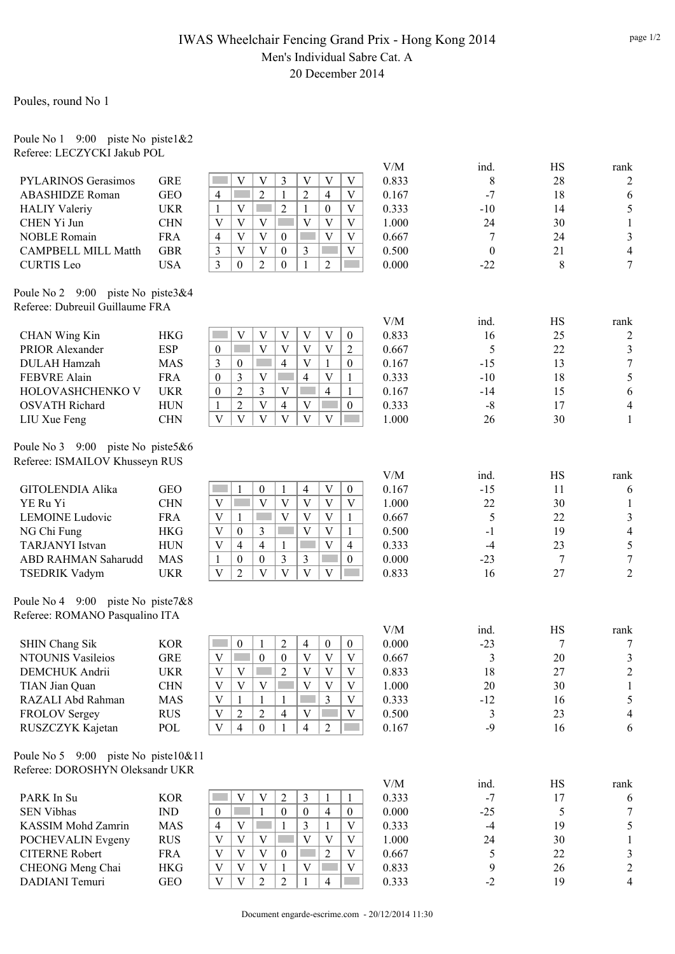### IWAS Wheelchair Fencing Grand Prix - Hong Kong 2014 Men's Individual Sabre Cat. A 20 December 2014

Poules, round No 1

#### Poule No 1 9:00 piste No piste1&2 Referee: LECZYCKI Jakub POL

|                                     |            |                                                                                                                             | V/M   | ind.             | HS     | rank                    |
|-------------------------------------|------------|-----------------------------------------------------------------------------------------------------------------------------|-------|------------------|--------|-------------------------|
| <b>PYLARINOS Gerasimos</b>          | <b>GRE</b> | V<br>V<br>$\mathfrak{Z}$<br>V<br>V<br>V                                                                                     | 0.833 | 8                | 28     | $\overline{2}$          |
| <b>ABASHIDZE Roman</b>              | <b>GEO</b> | $\overline{2}$<br>$\overline{2}$<br>$\overline{4}$<br>$\mathbf{V}$<br>$\overline{4}$<br>in 1<br>1                           | 0.167 | $-7$             | 18     | 6                       |
| <b>HALIY Valeriy</b>                | <b>UKR</b> | V<br>$\overline{2}$<br>$\boldsymbol{0}$<br>$\mathbf V$<br>$\mathbf{1}$<br>1                                                 | 0.333 | $-10$            | 14     | 5                       |
| CHEN Yi Jun                         | <b>CHN</b> | V<br>$\mathbf{V}$<br>$\overline{\mathbf{V}}$<br>$\overline{V}$<br>V<br>V                                                    | 1.000 | 24               | 30     | $\mathbf{1}$            |
| <b>NOBLE Romain</b>                 | <b>FRA</b> | $\overline{\mathbf{V}}$<br>$\overline{V}$<br>V<br>V<br>$\overline{4}$<br>$\boldsymbol{0}$                                   | 0.667 | 7                | 24     | $\mathfrak{Z}$          |
| <b>CAMPBELL MILL Matth</b>          | <b>GBR</b> | $\overline{V}$<br>$\mathfrak{Z}$<br>$\overline{V}$<br>$\mathbf V$<br>$\boldsymbol{0}$<br>3                                  | 0.500 | $\boldsymbol{0}$ | 21     | $\overline{\mathbf{4}}$ |
| <b>CURTIS</b> Leo                   | <b>USA</b> | $\overline{3}$<br>2<br>$\boldsymbol{0}$<br>$\theta$<br>2<br>1                                                               | 0.000 | $-22$            | 8      | $\overline{7}$          |
| Poule No 2 9:00 piste No piste 3&4  |            |                                                                                                                             |       |                  |        |                         |
| Referee: Dubreuil Guillaume FRA     |            |                                                                                                                             |       |                  |        |                         |
|                                     |            |                                                                                                                             | V/M   | ind.             | HS     | rank                    |
| <b>CHAN Wing Kin</b>                | <b>HKG</b> | V<br>V<br>$\boldsymbol{0}$<br>V<br>V<br>V                                                                                   | 0.833 | 16               | 25     | $\overline{c}$          |
| PRIOR Alexander                     | <b>ESP</b> | V<br>V<br>V<br>$\boldsymbol{0}$<br>V<br>2                                                                                   | 0.667 | 5                | 22     | $\mathfrak{Z}$          |
| <b>DULAH Hamzah</b>                 | <b>MAS</b> | 3<br>$\overline{4}$<br>V<br>$\boldsymbol{0}$<br>$\mathbf{1}$<br>$\mathbf{0}$                                                | 0.167 | $-15$            | 13     | $\tau$                  |
| FEBVRE Alain                        | <b>FRA</b> | 3<br>V<br>V<br>$\boldsymbol{0}$<br>4<br>1                                                                                   | 0.333 | $-10$            | 18     | 5                       |
| HOLOVASHCHENKO V                    | <b>UKR</b> | $\overline{2}$<br>3<br>$\boldsymbol{0}$<br>V<br>4<br>1                                                                      | 0.167 | $-14$            | 15     | 6                       |
| <b>OSVATH Richard</b>               | <b>HUN</b> | $\overline{2}$<br>V<br>$\overline{4}$<br>V<br>$\mathbf{1}$<br>$\mathbf{0}$                                                  | 0.333 | $-8$             | 17     | 4                       |
| LIU Xue Feng                        | <b>CHN</b> | $\overline{\mathbf{V}}$<br>$\mathbf{V}$<br>$\overline{\mathbf{V}}$<br>V<br>$\overline{V}$<br>$\mathbf{V}$                   | 1.000 | 26               | 30     | $\mathbf{1}$            |
| Poule No 3 9:00 piste No piste5&6   |            |                                                                                                                             |       |                  |        |                         |
| Referee: ISMAILOV Khusseyn RUS      |            |                                                                                                                             |       |                  |        |                         |
|                                     |            |                                                                                                                             | V/M   | ind.             | HS     | rank                    |
| <b>GITOLENDIA Alika</b>             | <b>GEO</b> | $\ensuremath{\mathsf{V}}$<br>$\boldsymbol{0}$<br>1<br>$\boldsymbol{0}$<br>4<br>1                                            | 0.167 | $-15$            | 11     | 6                       |
| YE Ru Yi                            | <b>CHN</b> | $\ensuremath{\mathbf{V}}$<br>$\overline{V}$<br>$\mathbf V$<br>V<br>V<br>V                                                   | 1.000 | 22               | 30     | $\mathbf{1}$            |
| <b>LEMOINE Ludovic</b>              | <b>FRA</b> | V<br>V<br>$\mathbf{1}$<br>V<br>V<br>1                                                                                       | 0.667 | 5                | 22     | $\mathfrak{Z}$          |
| NG Chi Fung                         | <b>HKG</b> | V<br>V<br>V<br>$\mathbf{0}$<br>3<br>1                                                                                       | 0.500 | $-1$             | 19     | $\overline{4}$          |
| <b>TARJANYI</b> Istvan              | <b>HUN</b> | $\mathbf V$<br>V<br>4<br>$\overline{4}$<br>1<br>4                                                                           | 0.333 | $-4$             | 23     | 5                       |
| ABD RAHMAN Saharudd                 | <b>MAS</b> | 3<br>$\mathbf{0}$<br>0<br>3<br>$\mathbf{0}$<br>1                                                                            | 0.000 | $-23$            | 7      | $\boldsymbol{7}$        |
| <b>TSEDRIK Vadym</b>                | <b>UKR</b> | $\overline{\mathbf{V}}$<br>$\mathbf{V}$<br>V<br>$\mathbf V$<br>$\overline{2}$<br>V                                          | 0.833 | 16               | 27     | $\overline{2}$          |
| Poule No 4 9:00 piste No piste7&8   |            |                                                                                                                             |       |                  |        |                         |
| Referee: ROMANO Pasqualino ITA      |            |                                                                                                                             |       |                  |        |                         |
|                                     |            |                                                                                                                             | V/M   | ind.             | HS     | rank                    |
| <b>SHIN Chang Sik</b>               | <b>KOR</b> | $\overline{2}$<br>$\mathbf{0}$<br>4<br>$\boldsymbol{0}$<br>$\boldsymbol{0}$<br>1                                            | 0.000 | $-23$            | 7      | 7                       |
| <b>NTOUNIS Vasileios</b>            | <b>GRE</b> | $\mathbf V$<br>$\boldsymbol{0}$<br>$\boldsymbol{0}$<br>$\ensuremath{\mathbf{V}}$<br><b>Contract</b><br>$\mathbf V$<br>V     | 0.667 | 3                | 20     | 3                       |
| DEMCHUK Andrii                      | <b>UKR</b> | $\mathbf V$<br>$V$ $V$ $V$                                                                                                  | 0.833 | 18               | $27\,$ | $\overline{c}$          |
| TIAN Jian Quan                      | <b>CHN</b> | $\bar{V}$<br>$\overline{V}$<br>$\mathbf{V}$<br>$\mathbf V$<br>$\overline{V}$<br>$\mathbf{V}$                                | 1.000 | 20               | 30     | 1                       |
| RAZALI Abd Rahman                   | MAS        | $\ensuremath{\mathbf{V}}$<br>$\overline{3}$<br>$\mathbf{1}$<br>$\mathbf V$<br>1<br>1                                        | 0.333 | $-12$            | 16     | 5                       |
| <b>FROLOV Sergey</b>                | <b>RUS</b> | $\ensuremath{\mathbf{V}}$<br>$\overline{2}$<br>$\overline{c}$<br>V<br>V<br>4                                                | 0.500 | 3                | 23     | 4                       |
| RUSZCZYK Kajetan                    | POL        | $\mathbf V$<br>$\overline{4}$<br>$\overline{2}$<br>$\overline{0}$<br>$\overline{4}$                                         | 0.167 | $-9$             | 16     | $\sqrt{6}$              |
| Poule No 5 9:00 piste No piste10&11 |            |                                                                                                                             |       |                  |        |                         |
| Referee: DOROSHYN Oleksandr UKR     |            |                                                                                                                             |       |                  |        |                         |
|                                     |            |                                                                                                                             | V/M   | ind.             | HS     | rank                    |
| PARK In Su                          | <b>KOR</b> | V<br>$\mathbf V$<br>$\overline{2}$<br>3<br>1<br>1                                                                           | 0.333 | $-7$             | 17     | 6                       |
| <b>SEN Vibhas</b>                   | <b>IND</b> | $\overline{4}$<br>$\boldsymbol{0}$<br><b>Side</b><br>$\mathbf{1}$<br>$\boldsymbol{0}$<br>$\boldsymbol{0}$<br>$\overline{0}$ | 0.000 | $-25$            | 5      | $\tau$                  |
| KASSIM Mohd Zamrin                  | <b>MAS</b> | $\overline{4}$<br>V<br>3<br>$\mathbf{1}$<br>V<br>1                                                                          | 0.333 | $-4$             | 19     | 5                       |
| POCHEVALIN Evgeny                   | <b>RUS</b> | $\overline{V}$<br>V<br>V<br>V<br>V<br>V                                                                                     | 1.000 | 24               | 30     | $\mathbf{1}$            |
| <b>CITERNE Robert</b>               | <b>FRA</b> | $\mathbf V$<br>$\overline{\mathbf{V}}$<br>V<br>$\overline{2}$<br>$\mathbf{0}$<br>V                                          | 0.667 | 5                | 22     | $\mathfrak{Z}$          |
| CHEONG Meng Chai                    | <b>HKG</b> | V<br>$\mathbf V$<br>V<br>V<br>V<br>1                                                                                        | 0.833 | 9                | 26     | $\overline{c}$          |
| DADIANI Temuri                      | GEO        | $\mathbf{V}$<br>$\overline{2}$<br>V<br>$\overline{2}$<br>4                                                                  | 0.333 | $-2$             | 19     | $\overline{4}$          |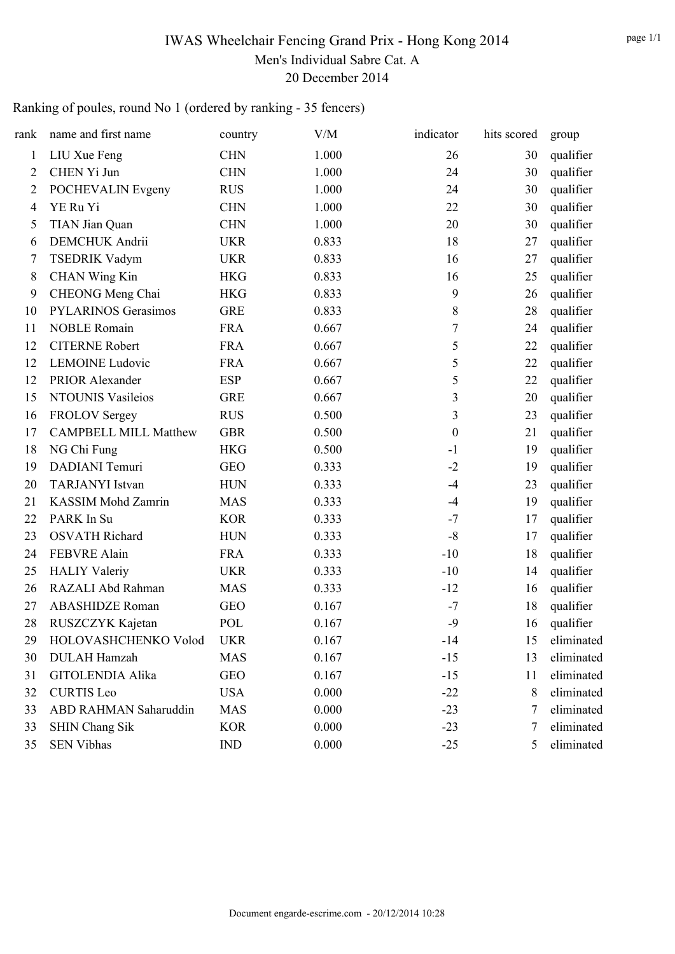# IWAS Wheelchair Fencing Grand Prix - Hong Kong 2014 Men's Individual Sabre Cat. A 20 December 2014

## Ranking of poules, round No 1 (ordered by ranking - 35 fencers)

| rank           | name and first name          | country    | V/M   | indicator        | hits scored | group      |
|----------------|------------------------------|------------|-------|------------------|-------------|------------|
| 1              | LIU Xue Feng                 | <b>CHN</b> | 1.000 | 26               | 30          | qualifier  |
| $\overline{2}$ | CHEN Yi Jun                  | <b>CHN</b> | 1.000 | 24               | 30          | qualifier  |
| $\overline{2}$ | POCHEVALIN Evgeny            | <b>RUS</b> | 1.000 | 24               | 30          | qualifier  |
| 4              | YE Ru Yi                     | <b>CHN</b> | 1.000 | 22               | 30          | qualifier  |
| 5              | <b>TIAN Jian Quan</b>        | <b>CHN</b> | 1.000 | 20               | 30          | qualifier  |
| 6              | <b>DEMCHUK</b> Andrii        | <b>UKR</b> | 0.833 | 18               | 27          | qualifier  |
| 7              | <b>TSEDRIK Vadym</b>         | <b>UKR</b> | 0.833 | 16               | 27          | qualifier  |
| 8              | <b>CHAN Wing Kin</b>         | <b>HKG</b> | 0.833 | 16               | 25          | qualifier  |
| 9              | CHEONG Meng Chai             | <b>HKG</b> | 0.833 | 9                | 26          | qualifier  |
| 10             | <b>PYLARINOS Gerasimos</b>   | <b>GRE</b> | 0.833 | 8                | 28          | qualifier  |
| 11             | <b>NOBLE Romain</b>          | <b>FRA</b> | 0.667 | $\boldsymbol{7}$ | 24          | qualifier  |
| 12             | <b>CITERNE Robert</b>        | <b>FRA</b> | 0.667 | 5                | 22          | qualifier  |
| 12             | <b>LEMOINE Ludovic</b>       | <b>FRA</b> | 0.667 | 5                | 22          | qualifier  |
| 12             | PRIOR Alexander              | <b>ESP</b> | 0.667 | 5                | 22          | qualifier  |
| 15             | NTOUNIS Vasileios            | <b>GRE</b> | 0.667 | 3                | 20          | qualifier  |
| 16             | <b>FROLOV Sergey</b>         | <b>RUS</b> | 0.500 | 3                | 23          | qualifier  |
| 17             | <b>CAMPBELL MILL Matthew</b> | <b>GBR</b> | 0.500 | $\boldsymbol{0}$ | 21          | qualifier  |
| 18             | NG Chi Fung                  | <b>HKG</b> | 0.500 | $-1$             | 19          | qualifier  |
| 19             | DADIANI Temuri               | <b>GEO</b> | 0.333 | $-2$             | 19          | qualifier  |
| 20             | <b>TARJANYI</b> Istvan       | <b>HUN</b> | 0.333 | $-4$             | 23          | qualifier  |
| 21             | KASSIM Mohd Zamrin           | <b>MAS</b> | 0.333 | $-4$             | 19          | qualifier  |
| 22             | PARK In Su                   | <b>KOR</b> | 0.333 | $-7$             | 17          | qualifier  |
| 23             | <b>OSVATH Richard</b>        | <b>HUN</b> | 0.333 | $-8$             | 17          | qualifier  |
| 24             | <b>FEBVRE Alain</b>          | <b>FRA</b> | 0.333 | $-10$            | 18          | qualifier  |
| 25             | <b>HALIY Valeriy</b>         | <b>UKR</b> | 0.333 | $-10$            | 14          | qualifier  |
| 26             | RAZALI Abd Rahman            | <b>MAS</b> | 0.333 | $-12$            | 16          | qualifier  |
| 27             | <b>ABASHIDZE Roman</b>       | <b>GEO</b> | 0.167 | $-7$             | 18          | qualifier  |
| 28             | RUSZCZYK Kajetan             | POL        | 0.167 | $-9$             | 16          | qualifier  |
| 29             | HOLOVASHCHENKO Volod         | <b>UKR</b> | 0.167 | $-14$            | 15          | eliminated |
| 30             | <b>DULAH Hamzah</b>          | <b>MAS</b> | 0.167 | $-15$            | 13          | eliminated |
| 31             | <b>GITOLENDIA Alika</b>      | <b>GEO</b> | 0.167 | $-15$            | 11          | eliminated |
| 32             | <b>CURTIS</b> Leo            | <b>USA</b> | 0.000 | $-22$            | 8           | eliminated |
| 33             | ABD RAHMAN Saharuddin        | <b>MAS</b> | 0.000 | $-23$            | 7           | eliminated |
| 33             | <b>SHIN Chang Sik</b>        | <b>KOR</b> | 0.000 | $-23$            | 7           | eliminated |
| 35             | <b>SEN Vibhas</b>            | <b>IND</b> | 0.000 | $-25$            | 5           | eliminated |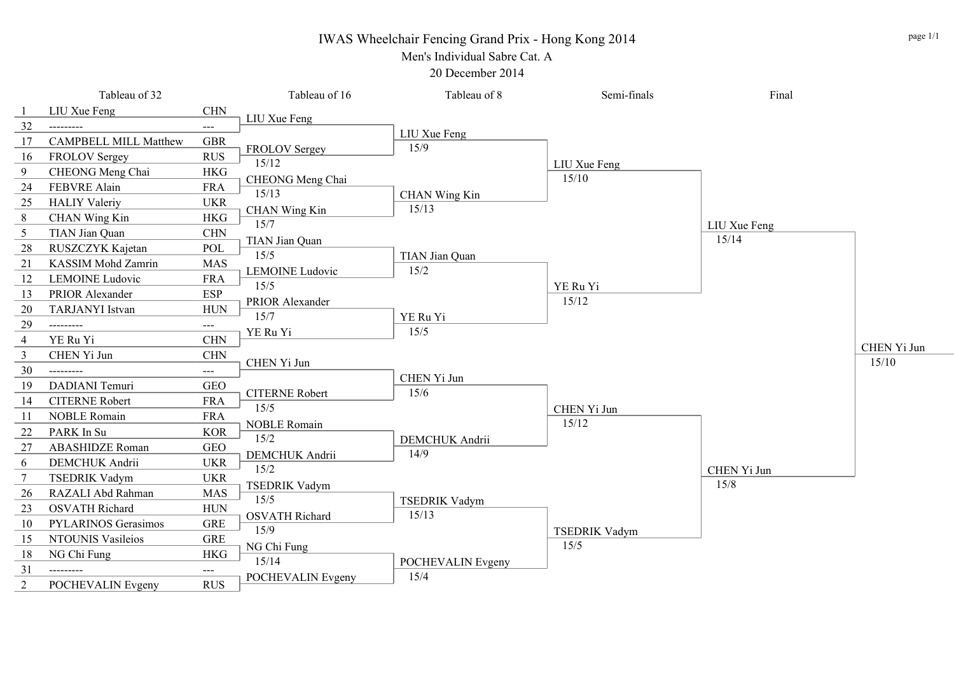# IWAS Wheelchair Fencing Grand Prix - Hong Kong 2014

Men's Individual Sabre Cat. A

20 December 2014

|                | Tableau of 32                |                     | Tableau of 16          | Tableau of 8           | Semi-finals          | Final        |             |
|----------------|------------------------------|---------------------|------------------------|------------------------|----------------------|--------------|-------------|
|                | LIU Xue Feng                 | <b>CHN</b>          | LIU Xue Feng           |                        |                      |              |             |
| 32             | ---------                    | ---                 |                        | LIU Xue Feng           |                      |              |             |
| 17             | <b>CAMPBELL MILL Matthew</b> | <b>GBR</b>          | FROLOV Sergey          | 15/9                   |                      |              |             |
| 16             | <b>FROLOV Sergey</b>         | <b>RUS</b>          | 15/12                  |                        | LIU Xue Feng         |              |             |
| 9              | CHEONG Meng Chai             | <b>HKG</b>          | CHEONG Meng Chai       |                        | 15/10                |              |             |
| 24             | FEBVRE Alain                 | <b>FRA</b>          | 15/13                  |                        |                      |              |             |
| 25             | <b>HALIY Valeriy</b>         | <b>UKR</b>          | <b>CHAN Wing Kin</b>   | CHAN Wing Kin<br>15/13 |                      |              |             |
| 8              | <b>CHAN Wing Kin</b>         | <b>HKG</b>          | 15/7                   |                        |                      | LIU Xue Feng |             |
| 5              | TIAN Jian Quan               | $\rm CHN$           | TIAN Jian Quan         |                        |                      | 15/14        |             |
| 28             | RUSZCZYK Kajetan             | POL                 | 15/5                   | TIAN Jian Quan         |                      |              |             |
| 21             | <b>KASSIM Mohd Zamrin</b>    | <b>MAS</b>          | <b>LEMOINE</b> Ludovic | 15/2                   |                      |              |             |
| 12             | <b>LEMOINE Ludovic</b>       | <b>FRA</b>          | 15/5                   |                        | YE Ru Yi             |              |             |
| 13             | PRIOR Alexander              | <b>ESP</b>          | PRIOR Alexander        |                        | 15/12                |              |             |
| 20             | <b>TARJANYI</b> Istvan       | <b>HUN</b>          | 15/7                   | YE Ru Yi               |                      |              |             |
| 29             | ---------                    | $---$               | YE Ru Yi               | 15/5                   |                      |              |             |
| $\overline{4}$ | YE Ru Yi                     | CHN                 |                        |                        |                      |              | CHEN Yi Jun |
| $\overline{3}$ | CHEN Yi Jun                  | <b>CHN</b>          | CHEN Yi Jun            |                        |                      |              | 15/10       |
| 30             | ---------                    | $---$               |                        | CHEN Yi Jun            |                      |              |             |
| 19             | DADIANI Temuri               | <b>GEO</b>          | <b>CITERNE Robert</b>  | 15/6                   |                      |              |             |
| 14             | <b>CITERNE Robert</b>        | <b>FRA</b>          | 15/5                   |                        | CHEN Yi Jun          |              |             |
| 11             | <b>NOBLE Romain</b>          | <b>FRA</b>          | <b>NOBLE Romain</b>    |                        | 15/12                |              |             |
| 22             | PARK In Su                   | <b>KOR</b>          | 15/2                   | DEMCHUK Andrii         |                      |              |             |
| 27             | <b>ABASHIDZE</b> Roman       | <b>GEO</b>          | DEMCHUK Andrii         | 14/9                   |                      |              |             |
| 6              | <b>DEMCHUK</b> Andrii        | <b>UKR</b>          | 15/2                   |                        |                      | CHEN Yi Jun  |             |
| 7              | <b>TSEDRIK Vadym</b>         | <b>UKR</b>          | <b>TSEDRIK Vadym</b>   |                        |                      | 15/8         |             |
| 26             | RAZALI Abd Rahman            | <b>MAS</b>          | 15/5                   | <b>TSEDRIK Vadym</b>   |                      |              |             |
| 23             | <b>OSVATH Richard</b>        | <b>HUN</b>          | <b>OSVATH Richard</b>  | 15/13                  |                      |              |             |
| 10             | <b>PYLARINOS Gerasimos</b>   | <b>GRE</b>          | 15/9                   |                        | <b>TSEDRIK Vadym</b> |              |             |
| 15             | <b>NTOUNIS Vasileios</b>     | <b>GRE</b>          | NG Chi Fung            |                        | 15/5                 |              |             |
| 18             | NG Chi Fung                  | <b>HKG</b>          | 15/14                  | POCHEVALIN Evgeny      |                      |              |             |
| 31             |                              | $\qquad \qquad - -$ | POCHEVALIN Evgeny      | 15/4                   |                      |              |             |
| $\overline{2}$ | POCHEVALIN Evgeny            | <b>RUS</b>          |                        |                        |                      |              |             |